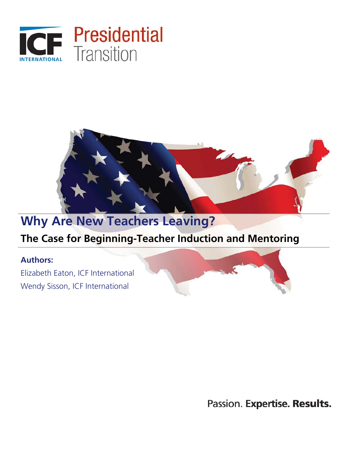



# **Why Are New Teachers Leaving?**

# **The Case for Beginning-Teacher Induction and Mentoring**

# **Authors:**

Elizabeth Eaton, ICF International Wendy Sisson, ICF International

Passion. Expertise. Results.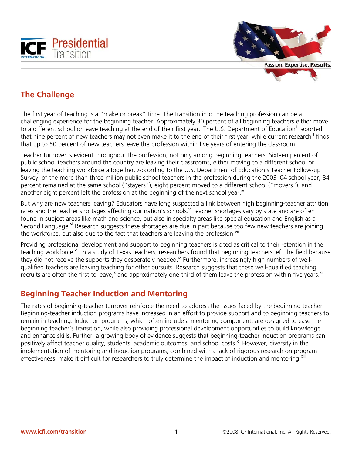

Passion. Expertise. Results.

# **The Challenge**

The first year of teaching is a "make or break" time. The transition into the teaching profession can be a challenging experience for the beginning teacher. Approximately 30 percent of all beginning teachers either move to a different school or leave teaching at the end of their first year.<sup>i</sup> The U.S. Department of Education<sup>ii</sup> reported that nine percent of new teachers may not even make it to the end of their first year, while current research<sup>iii</sup> finds that up to 50 percent of new teachers leave the profession within five years of entering the classroom.

Teacher turnover is evident throughout the profession, not only among beginning teachers. Sixteen percent of public school teachers around the country are leaving their classrooms, either moving to a different school or leaving the teaching workforce altogether. According to the U.S. Department of Education's Teacher Follow-up Survey, of the more than three million public school teachers in the profession during the 2003–04 school year, 84 percent remained at the same school ("stayers"), eight percent moved to a different school ("movers"), and another eight percent left the profession at the beginning of the next school year.<sup>iv</sup>

But why are new teachers leaving? Educators have long suspected a link between high beginning-teacher attrition rates and the teacher shortages affecting our nation's schools. Teacher shortages vary by state and are often found in subject areas like math and science, but also in specialty areas like special education and English as a Second Language.<sup>vi</sup> Research suggests these shortages are due in part because too few new teachers are joining the workforce, but also due to the fact that teachers are leaving the profession.<sup>vii</sup>

Providing professional development and support to beginning teachers is cited as critical to their retention in the teaching workforce.<sup>viii</sup> In a study of Texas teachers, researchers found that beginning teachers left the field because they did not receive the supports they desperately needed.<sup>ix</sup> Furthermore, increasingly high numbers of wellqualified teachers are leaving teaching for other pursuits. Research suggests that these well-qualified teaching recruits are often the first to leave,<sup>x</sup> and approximately one-third of them leave the profession within five years.<sup>xi</sup>

# **Beginning Teacher Induction and Mentoring**

The rates of beginning-teacher turnover reinforce the need to address the issues faced by the beginning teacher. Beginning-teacher induction programs have increased in an effort to provide support and to beginning teachers to remain in teaching. Induction programs, which often include a mentoring component, are designed to ease the beginning teacher's transition, while also providing professional development opportunities to build knowledge and enhance skills. Further, a growing body of evidence suggests that beginning-teacher induction programs can positively affect teacher quality, students' academic outcomes, and school costs.<sup>xii</sup> However, diversity in the implementation of mentoring and induction programs, combined with a lack of rigorous research on program effectiveness, make it difficult for researchers to truly determine the impact of induction and mentoring.<sup>xiii</sup>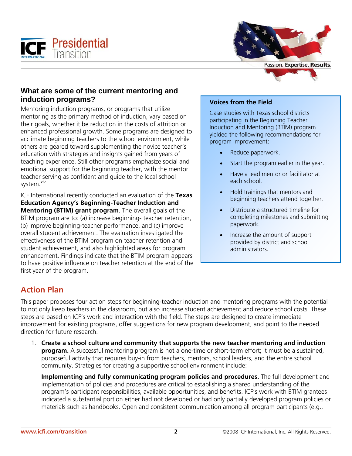



#### **What are some of the current mentoring and induction programs?**

Mentoring induction programs, or programs that utilize mentoring as the primary method of induction, vary based on their goals, whether it be reduction in the costs of attrition or enhanced professional growth. Some programs are designed to acclimate beginning teachers to the school environment, while others are geared toward supplementing the novice teacher's education with strategies and insights gained from years of teaching experience. Still other programs emphasize social and emotional support for the beginning teacher, with the mentor teacher serving as confidant and guide to the local school system.<sup>xiv</sup>

ICF International recently conducted an evaluation of the **Texas Education Agency's Beginning-Teacher Induction and Mentoring (BTIM) grant program**. The overall goals of the BTIM program are to: (a) increase beginning- teacher retention, (b) improve beginning-teacher performance, and (c) improve overall student achievement. The evaluation investigated the effectiveness of the BTIM program on teacher retention and student achievement, and also highlighted areas for program enhancement. Findings indicate that the BTIM program appears to have positive influence on teacher retention at the end of the first year of the program.

#### **Voices from the Field**

Case studies with Texas school districts participating in the Beginning Teacher Induction and Mentoring (BTIM) program yielded the following recommendations for program improvement:

- Reduce paperwork.
- Start the program earlier in the year.
- Have a lead mentor or facilitator at each school.
- Hold trainings that mentors and beginning teachers attend together.
- Distribute a structured timeline for completing milestones and submitting paperwork.
- Increase the amount of support provided by district and school administrators.

# **Action Plan**

This paper proposes four action steps for beginning-teacher induction and mentoring programs with the potential to not only keep teachers in the classroom, but also increase student achievement and reduce school costs. These steps are based on ICF's work and interaction with the field. The steps are designed to create immediate improvement for existing programs, offer suggestions for new program development, and point to the needed direction for future research.

1. **Create a school culture and community that supports the new teacher mentoring and induction program.** A successful mentoring program is not a one-time or short-term effort; it must be a sustained, purposeful activity that requires buy-in from teachers, mentors, school leaders, and the entire school community. Strategies for creating a supportive school environment include:

**Implementing and fully communicating program policies and procedures.** The full development and implementation of policies and procedures are critical to establishing a shared understanding of the program's participant responsibilities, available opportunities, and benefits. ICF's work with BTIM grantees indicated a substantial portion either had not developed or had only partially developed program policies or materials such as handbooks. Open and consistent communication among all program participants (e.g.,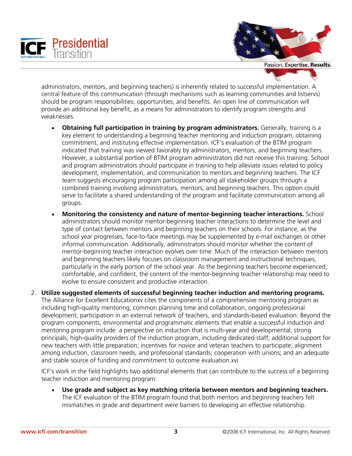



Passion. Expertise. Results.

administrators, mentors, and beginning teachers) is inherently related to successful implementation. A central feature of this communication (through mechanisms such as learning communities and listservs) should be program responsibilities, opportunities, and benefits. An open line of communication will provide an additional key benefit, as a means for administrators to identify program strengths and weaknesses.

- **Obtaining full participation in training by program administrators.** Generally, training is a key element to understanding a beginning teacher mentoring and induction program, obtaining commitment, and instituting effective implementation. ICF's evaluation of the BTIM program indicated that training was viewed favorably by administrators, mentors, and beginning teachers. However, a substantial portion of BTIM program administrators did not receive this training. School and program administrators should participate in training to help alleviate issues related to policy development, implementation, and communication to mentors and beginning teachers. The ICF team suggests encouraging program participation among all stakeholder groups through a combined training involving administrators, mentors, and beginning teachers. This option could serve to facilitate a shared understanding of the program and facilitate communication among all groups.
- **Monitoring the consistency and nature of mentor-beginning teacher interactions.** School administrators should monitor mentor-beginning teacher interactions to determine the level and type of contact between mentors and beginning teachers on their schools. For instance, as the school year progresses, face-to-face meetings may be supplemented by e-mail exchanges or other informal communication. Additionally, administrators should monitor whether the content of mentor-beginning teacher interaction evolves over time. Much of the interaction between mentors and beginning teachers likely focuses on classroom management and instructional techniques, particularly in the early portion of the school year. As the beginning teachers become experienced, comfortable, and confident, the content of the mentor-beginning teacher relationship may need to evolve to ensure consistent and productive interaction.
- 2. **Utilize suggested elements of successful beginning teacher induction and mentoring programs.** The Alliance for Excellent Educationxv cites the components of a comprehensive mentoring program as including high-quality mentoring, common planning time and collaboration, ongoing professional development, participation in an external network of teachers, and standards-based evaluation. Beyond the program components, environmental and programmatic elements that enable a successful induction and mentoring program include: a perspective on induction that is multi-year and developmental; strong principals; high-quality providers of the induction program, including dedicated staff; additional support for new teachers with little preparation; incentives for novice and veteran teachers to participate; alignment among induction, classroom needs, and professional standards; cooperation with unions; and an adequate and stable source of funding and commitment to outcome evaluation.xvi

ICF's work in the field highlights two additional elements that can contribute to the success of a beginning teacher induction and mentoring program:

• **Use grade and subject as key matching criteria between mentors and beginning teachers.** The ICF evaluation of the BTIM program found that both mentors and beginning teachers felt mismatches in grade and department were barriers to developing an effective relationship.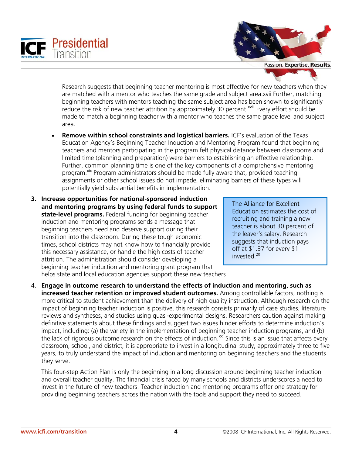



Research suggests that beginning teacher mentoring is most effective for new teachers when they are matched with a mentor who teaches the same grade and subject area.xvii Further, matching beginning teachers with mentors teaching the same subject area has been shown to significantly reduce the risk of new teacher attrition by approximately 30 percent.<sup>xviii</sup> Every effort should be made to match a beginning teacher with a mentor who teaches the same grade level and subject area.

- **Remove within school constraints and logistical barriers.** ICF's evaluation of the Texas Education Agency's Beginning Teacher Induction and Mentoring Program found that beginning teachers and mentors participating in the program felt physical distance between classrooms and limited time (planning and preparation) were barriers to establishing an effective relationship. Further, common planning time is one of the key components of a comprehensive mentoring program.<sup>xix</sup> Program administrators should be made fully aware that, provided teaching assignments or other school issues do not impede, eliminating barriers of these types will potentially yield substantial benefits in implementation.
- **3. Increase opportunities for national-sponsored induction and mentoring programs by using federal funds to support state-level programs.** Federal funding for beginning teacher induction and mentoring programs sends a message that beginning teachers need and deserve support during their transition into the classroom. During these tough economic times, school districts may not know how to financially provide this necessary assistance, or handle the high costs of teacher attrition. The administration should consider developing a beginning teacher induction and mentoring grant program that helps state and local education agencies support these new teachers.

The Alliance for Excellent Education estimates the cost of recruiting and training a new teacher is about 30 percent of the leaver's salary. Research suggests that induction pays off at \$1.37 for every \$1 invested.20

4. **Engage in outcome research to understand the effects of induction and mentoring, such as increased teacher retention or improved student outcomes.** Among controllable factors, nothing is more critical to student achievement than the delivery of high quality instruction. Although research on the impact of beginning teacher induction is positive, this research consists primarily of case studies, literature reviews and syntheses, and studies using quasi-experimental designs. Researchers caution against making definitive statements about these findings and suggest two issues hinder efforts to determine induction's impact, including: (a) the variety in the implementation of beginning teacher induction programs, and (b) the lack of rigorous outcome research on the effects of induction.<sup>xxi</sup> Since this is an issue that affects every classroom, school, and district, it is appropriate to invest in a longitudinal study, approximately three to five years, to truly understand the impact of induction and mentoring on beginning teachers and the students they serve.

This four-step Action Plan is only the beginning in a long discussion around beginning teacher induction and overall teacher quality. The financial crisis faced by many schools and districts underscores a need to invest in the future of new teachers. Teacher induction and mentoring programs offer one strategy for providing beginning teachers across the nation with the tools and support they need to succeed.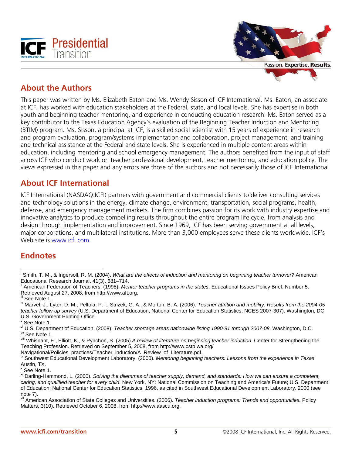



# **About the Authors**

This paper was written by Ms. Elizabeth Eaton and Ms. Wendy Sisson of ICF International. Ms. Eaton, an associate at ICF, has worked with education stakeholders at the Federal, state, and local levels. She has expertise in both youth and beginning teacher mentoring, and experience in conducting education research. Ms. Eaton served as a key contributor to the Texas Education Agency's evaluation of the Beginning Teacher Induction and Mentoring (BTIM) program. Ms. Sisson, a principal at ICF, is a skilled social scientist with 15 years of experience in research and program evaluation, program/systems implementation and collaboration, project management, and training and technical assistance at the Federal and state levels. She is experienced in multiple content areas within education, including mentoring and school emergency management. The authors benefited from the input of staff across ICF who conduct work on teacher professional development, teacher mentoring, and education policy. The views expressed in this paper and any errors are those of the authors and not necessarily those of ICF International.

### **About ICF International**

ICF International (NASDAQ:ICFI) partners with government and commercial clients to deliver consulting services and technology solutions in the energy, climate change, environment, transportation, social programs, health, defense, and emergency management markets. The firm combines passion for its work with industry expertise and innovative analytics to produce compelling results throughout the entire program life cycle, from analysis and design through implementation and improvement. Since 1969, ICF has been serving government at all levels, major corporations, and multilateral institutions. More than 3,000 employees serve these clients worldwide. ICF's Web site is www.icfi.com.

# **Endnotes**

v See Note 1.

Navigational/Policies\_practices/Teacher\_induction/A\_Review\_of\_Literature.pdf.

x See Note 1.

 $\overline{a}$ i Smith, T. M., & Ingersoll, R. M. (2004). *What are the effects of induction and mentoring on beginning teacher turnover?* American Educational Research Journal, 41(3), 681–714.

American Federation of Teachers. (1998). *Mentor teacher programs in the states*. Educational Issues Policy Brief, Number 5. Retrieved August 27, 2008, from http://www.aft.org.<br><sup>iii</sup> See Note 1.

iv Marvel, J., Lyter, D. M., Peltola, P. l., Strizek, G. A., & Morton, B. A. (2006). *Teacher attrition and mobility: Results from the 2004-05 teacher follow-up survey* (U.S. Department of Education, National Center for Education Statistics, NCES 2007-307). Washington, DC: U.S. Government Printing Office.

v<sup>i</sup> U.S. Department of Education. (2008). *Teacher shortage areas nationwide listing 1990-91 through 2007-08*. Washington, D.C.<br><sup>vii</sup> See Note 1.

viii Whisnant, E., Elliott, K., & Pynchon, S. (2005) *A review of literature on beginning teacher induction*. Center for Strengthening the Teaching Profession. Retrieved on September 5, 2008, from http://www.cstp wa.org/

ix Southwest Educational Development Laboratory. (2000). Mentoring beginning teachers: Lessons from the experience in Texas. Austin, TX.

xi Darling-Hammond, L. (2000). *Solving the dilemmas of teacher supply, demand, and standards: How we can ensure a competent, caring, and qualified teacher for every child*. New York, NY: National Commission on Teaching and America's Future; U.S. Department of Education, National Center for Education Statistics, 1996, as cited in Southwest Educational Development Laboratory, 2000 (see note 7).

xii American Association of State Colleges and Universities. (2006). *Teacher induction programs: Trends and opportunities.* Policy Matters, 3(10). Retrieved October 6, 2008, from http://www.aascu.org.